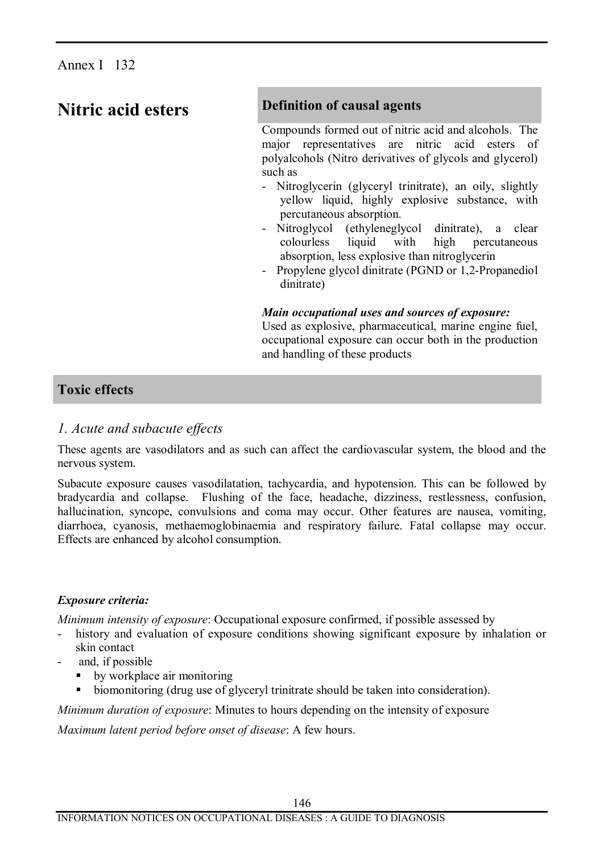# **Nitric acid esters Definition of causal agents**

Compounds formed out of nitric acid and alcohols. The major representatives are nitric acid esters of polyalcohols (Nitro derivatives of glycols and glycerol) such as

- Nitroglycerin (glyceryl trinitrate), an oily, slightly yellow liquid, highly explosive substance, with percutaneous absorption.
- Nitroglycol (ethyleneglycol dinitrate), a clear colourless liquid with high percutaneous absorption, less explosive than nitroglycerin
- Propylene glycol dinitrate (PGND or 1,2-Propanediol dinitrate)

## *Main occupational uses and sources of exposure:*

Used as explosive, pharmaceutical, marine engine fuel, occupational exposure can occur both in the production and handling of these products

# **Toxic effects**

## *1. Acute and subacute effects*

These agents are vasodilators and as such can affect the cardiovascular system, the blood and the nervous system.

Subacute exposure causes vasodilatation, tachycardia, and hypotension. This can be followed by bradycardia and collapse. Flushing of the face, headache, dizziness, restlessness, confusion, hallucination, syncope, convulsions and coma may occur. Other features are nausea, vomiting, diarrhoea, cyanosis, methaemoglobinaemia and respiratory failure. Fatal collapse may occur. Effects are enhanced by alcohol consumption.

## *Exposure criteria:*

*Minimum intensity of exposure*: Occupational exposure confirmed, if possible assessed by

- history and evaluation of exposure conditions showing significant exposure by inhalation or skin contact
- and, if possible
	- $\bullet$  by workplace air monitoring
	- biomonitoring (drug use of glyceryl trinitrate should be taken into consideration).

*Minimum duration of exposure*: Minutes to hours depending on the intensity of exposure

*Maximum latent period before onset of disease*: A few hours.